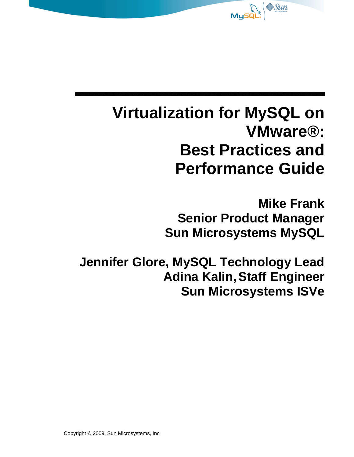

# **Virtualization for MySQL on VMware®: Best Practices and Performance Guide**

**Mike Frank Senior Product Manager Sun Microsystems MySQL**

**Jennifer Glore, MySQL Technology Lead Adina Kalin,Staff Engineer Sun Microsystems ISVe**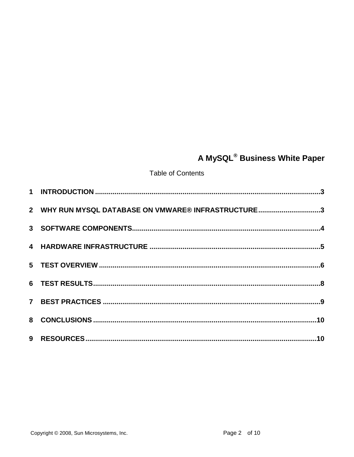## A MySQL® Business White Paper

**Table of Contents** 

| 2 WHY RUN MYSQL DATABASE ON VMWARE® INFRASTRUCTURE3 |  |
|-----------------------------------------------------|--|
|                                                     |  |
|                                                     |  |
|                                                     |  |
|                                                     |  |
|                                                     |  |
|                                                     |  |
|                                                     |  |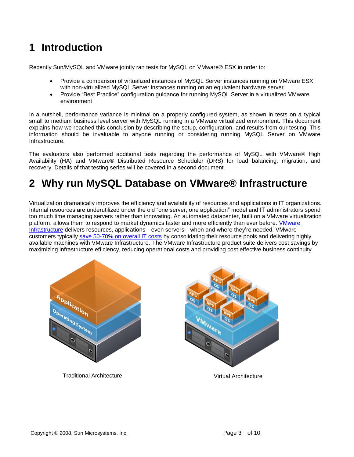### <span id="page-2-0"></span>**1 Introduction**

Recently Sun/MySQL and VMware jointly ran tests for MySQL on VMware® ESX in order to:

- Provide a comparison of virtualized instances of MySQL Server instances running on VMware ESX with non-virtualized MySQL Server instances running on an equivalent hardware server.
- Provide "Best Practice" configuration guidance for running MySQL Server in a virtualized VMware environment

In a nutshell, performance variance is minimal on a properly configured system, as shown in tests on a typical small to medium business level server with MySQL running in a VMware virtualized environment. This document explains how we reached this conclusion by describing the setup, configuration, and results from our testing. This information should be invaluable to anyone running or considering running MySQL Server on VMware Infrastructure.

The evaluators also performed additional tests regarding the performance of MySQL with VMware® High Availability (HA) and VMware® Distributed Resource Scheduler (DRS) for load balancing, migration, and recovery. Details of that testing series will be covered in a second document.

### <span id="page-2-1"></span>**2 Why run MySQL Database on VMware® Infrastructure**

Virtualization dramatically improves the efficiency and availability of resources and applications in IT organizations. Internal resources are underutilized under the old "one server, one application" model and IT administrators spend too much time managing servers rather than innovating. An automated datacenter, built on a VMware virtualization platform, allows them to respond to market dynamics faster and more efficiently than ever before. [VMware](http://www.vmware.com/products/vi/)  [Infrastructure](http://www.vmware.com/products/vi/) delivers resources, applications—even servers—when and where they're needed. VMware customers typically [save 50-70% on overall IT costs](http://www.vmware.com/solutions/consolidation/) by consolidating their resource pools and delivering highly available machines with VMware Infrastructure. The VMware Infrastructure product suite delivers cost savings by maximizing infrastructure efficiency, reducing operational costs and providing cost effective business continuity.





Traditional Architecture **Victor Victor**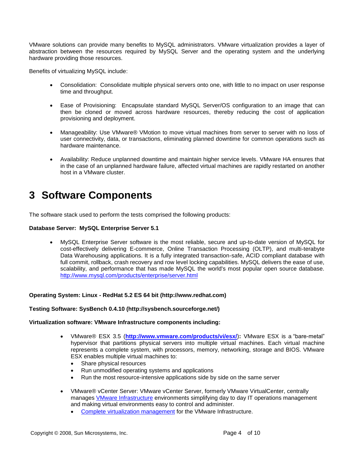VMware solutions can provide many benefits to MySQL administrators. VMware virtualization provides a layer of abstraction between the resources required by MySQL Server and the operating system and the underlying hardware providing those resources.

Benefits of virtualizing MySQL include:

- Consolidation: Consolidate multiple physical servers onto one, with little to no impact on user response time and throughput.
- Ease of Provisioning: Encapsulate standard MySQL Server/OS configuration to an image that can then be cloned or moved across hardware resources, thereby reducing the cost of application provisioning and deployment.
- Manageability: Use VMware® VMotion to move virtual machines from server to server with no loss of user connectivity, data, or transactions, eliminating planned downtime for common operations such as hardware maintenance.
- Availability: Reduce unplanned downtime and maintain higher service levels. VMware HA ensures that in the case of an unplanned hardware failure, affected virtual machines are rapidly restarted on another host in a VMware cluster.

### <span id="page-3-0"></span>**3 Software Components**

The software stack used to perform the tests comprised the following products:

#### **Database Server: MySQL Enterprise Server 5.1**

 MySQL Enterprise Server software is the most reliable, secure and up-to-date version of MySQL for cost-effectively delivering E-commerce, Online Transaction Processing (OLTP), and multi-terabyte Data Warehousing applications. It is a fully integrated transaction-safe, ACID compliant database with full commit, rollback, crash recovery and row level locking capabilities. MySQL delivers the ease of use, scalability, and performance that has made MySQL the world's most popular open source database. <http://www.mysql.com/products/enterprise/server.html>

#### **Operating System: Linux - RedHat 5.2 ES 64 bit (http://www.redhat.com)**

#### **Testing Software: SysBench 0.4.10 (http://sysbench.sourceforge.net/)**

#### **Virtualization software: VMware Infrastructure components including:**

- VMware® ESX 3.5 (**<http://www.vmware.com/products/vi/esx/>**)**:** VMware ESX is a "bare-metal" hypervisor that partitions physical servers into multiple virtual machines. Each virtual machine represents a complete system, with processors, memory, networking, storage and BIOS. VMware ESX enables multiple virtual machines to:
	- Share physical resources
	- Run unmodified operating systems and applications
	- Run the most resource-intensive applications side by side on the same server
- VMware® vCenter Server: VMware vCenter Server, formerly VMware VirtualCenter, centrally manages [VMware Infrastructure](http://www.vmware.com/products/vi/) environments simplifying day to day IT operations management and making virtual environments easy to control and administer.
	- [Complete virtualization management](http://www.vmware.com/solutions/virtualization-management/) for the VMware Infrastructure.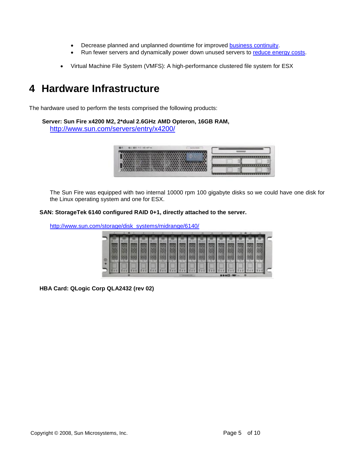- Decrease planned and unplanned downtime for improved [business continuity.](http://www.vmware.com/solutions/continuity/)
- Run fewer servers and dynamically power down unused servers to [reduce energy costs.](http://www.vmware.com/solutions/consolidation/green/)
- Virtual Machine File System (VMFS): A high-performance clustered file system for ESX

### <span id="page-4-0"></span>**4 Hardware Infrastructure**

The hardware used to perform the tests comprised the following products:

**Server: Sun Fire x4200 M2, 2\*dual 2.6GHz AMD Opteron, 16GB RAM,** <http://www.sun.com/servers/entry/x4200/>

| 图 200 年(2) 400 km (4) |       |  |
|-----------------------|-------|--|
|                       |       |  |
|                       |       |  |
|                       |       |  |
|                       | ----- |  |
|                       |       |  |

The Sun Fire was equipped with two internal 10000 rpm 100 gigabyte disks so we could have one disk for the Linux operating system and one for ESX.

#### **SAN: StorageTek 6140 configured RAID 0+1, directly attached to the server.**

[http://www.sun.com/storage/disk\\_systems/midrange/6140/](http://www.sun.com/storage/disk_systems/midrange/6140/)

|  |  |  | and the book of the book and the book of the book |  |  |  |  |  |  |
|--|--|--|---------------------------------------------------|--|--|--|--|--|--|
|  |  |  |                                                   |  |  |  |  |  |  |

**HBA Card: QLogic Corp QLA2432 (rev 02)**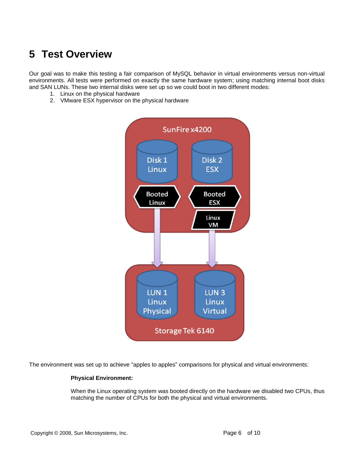### <span id="page-5-0"></span>**5 Test Overview**

Our goal was to make this testing a fair comparison of MySQL behavior in virtual environments versus non-virtual environments. All tests were performed on exactly the same hardware system; using matching internal boot disks and SAN LUNs. These two internal disks were set up so we could boot in two different modes:

- 1. Linux on the physical hardware
- 2. VMware ESX hypervisor on the physical hardware



The environment was set up to achieve "apples to apples" comparisons for physical and virtual environments:

#### **Physical Environment:**

When the Linux operating system was booted directly on the hardware we disabled two CPUs, thus matching the number of CPUs for both the physical and virtual environments.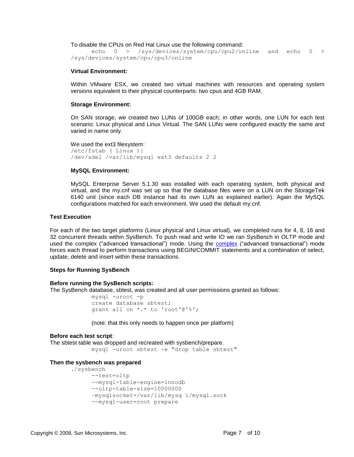To disable the CPUs on Red Hat Linux use the following command:

echo 0 > /sys/devices/system/cpu/cpu2/online and echo 0 > /sys/devices/system/cpu/cpu3/online

#### **Virtual Environment:**

Within VMware ESX, we created two virtual machines with resources and operating system versions equivalent to their physical counterparts: two cpus and 4GB RAM.

#### **Storage Environment:**

On SAN storage, we created two LUNs of 100GB each; in other words, one LUN for each test scenario: Linux physical and Linux Virtual. The SAN LUNs were configured exactly the same and varied in name only.

We used the ext3 filesystem: /etc/fstab ( Linux ): /dev/sde1 /var/lib/mysql ext3 defaults 2 2

#### **MySQL Environment:**

MySQL Enterprise Server 5.1.30 was installed with each operating system, both physical and virtual, and the my.cnf was set up so that the database files were on a LUN on the StorageTek 6140 unit (since each DB instance had its own LUN as explained earlier). Again the MySQL configurations matched for each environment. We used the default my.cnf.

#### **Test Execution**

For each of the two target platforms (Linux physical and Linux virtual), we completed runs for 4, 8, 16 and 32 concurrent threads within SysBench. To push read and write IO we ran SysBench in OLTP mode and used the complex ("advanced transactional") mode. Using the [complex](http://sysbench.sourceforge.net/docs/#database_mode) ("advanced transactional") mode forces each thread to perform transactions using BEGIN/COMMIT statements and a combination of select, update, delete and insert within these transactions.

#### **Steps for Running SysBench**

#### **Before running the SysBench scripts:**

The SysBench database, sbtest, was created and all user permissions granted as follows:

```
mysql -uroot -p
create database sbtest;
grant all on *.* to 'root'@'%';
```
(note: that this only needs to happen once per platform)

#### **Before each test script**:

The sbtest table was dropped and recreated with sysbench/prepare. mysql -uroot sbtest -e "drop table sbtest"

#### **Then the sysbench was prepared**

```
./sysbench
```

```
--test=oltp 
--mysql-table-engine=innodb 
--oltp-table-size=10000000 
–mysqlsocket=/var/lib/mysq l/mysql.sock 
--mysql-user=root prepare
```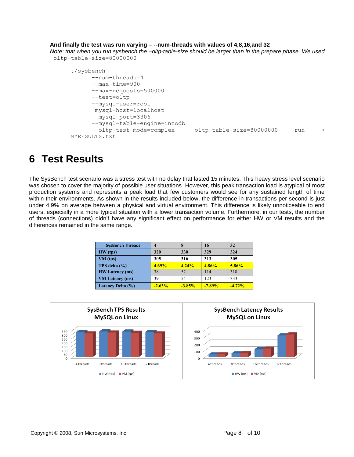#### **And finally the test was run varying – --num-threads with values of 4,8,16,and 32**

*Note: that when you run sysbench the –oltp-table-size should be larger than in the prepare phase. We used*  –oltp-table-size=80000000

```
./sysbench 
      --num-threads=4 
      --max-time=900 
      --max-requests=500000 
      --test=oltp 
      --mysql-user=root 
      –mysql-host=localhost
      --mysql-port=3306 
      --mysql-table-engine=innodb 
      --oltp-test-mode=complex –oltp-table-size=80000000 run > 
MYRESULTS.txt
```
### <span id="page-7-0"></span>**6 Test Results**

The SysBench test scenario was a stress test with no delay that lasted 15 minutes. This heavy stress level scenario was chosen to cover the majority of possible user situations. However, this peak transaction load is atypical of most production systems and represents a peak load that few customers would see for any sustained length of time within their environments. As shown in the results included below, the difference in transactions per second is just under 4.9% on average between a physical and virtual environment. This difference is likely unnoticeable to end users, especially in a more typical situation with a lower transaction volume. Furthermore, in our tests, the number of threads (connections) didn't have any significant effect on performance for either HW or VM results and the differences remained in the same range.

| <b>SysBench Threads</b> |          |          | 16        | 32       |  |
|-------------------------|----------|----------|-----------|----------|--|
| HW (tps)                | 320      | 330      | 329       | 324      |  |
| $VM$ (tps)              | 305      | 316      | 313       | 305      |  |
| TPS delta (%)           | 4.69%    | 4.24%    | 4.86%     | 5.86%    |  |
| <b>HW Latency (ms)</b>  | 38       | 52       | 114       | 318      |  |
| <b>VM</b> Latency (ms)  | 39       | 54       | 123       | 333      |  |
| Latency Delta (%)       | $-2.63%$ | $-3.85%$ | $-7.89\%$ | $-4.72%$ |  |

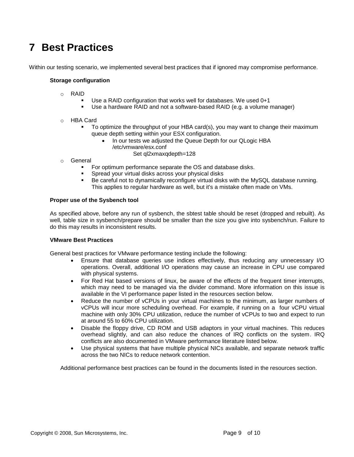### <span id="page-8-0"></span>**7 Best Practices**

Within our testing scenario, we implemented several best practices that if ignored may compromise performance.

#### **Storage configuration**

- o RAID
	- Use a RAID configuration that works well for databases. We used 0+1
	- Use a hardware RAID and not a software-based RAID (e.g. a volume manager)
- o HBA Card
	- To optimize the throughput of your HBA card(s), you may want to change their maximum queue depth setting within your ESX configuration.
		- In our tests we adjusted the Queue Depth for our QLogic HBA /etc/vmware/esx.conf
			- Set ql2xmaxqdepth=128
- o General
	- **For optimum performance separate the OS and database disks.**
	- **Spread your virtual disks across your physical disks**
	- Be careful not to dynamically reconfigure virtual disks with the MySQL database running. This applies to regular hardware as well, but it's a mistake often made on VMs.

#### **Proper use of the Sysbench tool**

As specified above, before any run of sysbench, the sbtest table should be reset (dropped and rebuilt). As well, table size in sysbench/prepare should be smaller than the size you give into sysbench/run. Failure to do this may results in inconsistent results.

#### **VMware Best Practices**

General best practices for VMware performance testing include the following:

- Ensure that database queries use indices effectively, thus reducing any unnecessary I/O operations. Overall, additional I/O operations may cause an increase in CPU use compared with physical systems.
- For Red Hat based versions of linux, be aware of the effects of the frequent timer interrupts, which may need to be managed via the divider command. More information on this issue is available in the VI performance paper listed in the resources section below.
- Reduce the number of vCPUs in your virtual machines to the minimum, as larger numbers of vCPUs will incur more scheduling overhead. For example, if running on a four vCPU virtual machine with only 30% CPU utilization, reduce the number of vCPUs to two and expect to run at around 55 to 60% CPU utilization.
- Disable the floppy drive, CD ROM and USB adaptors in your virtual machines. This reduces overhead slightly, and can also reduce the chances of IRQ conflicts on the system. IRQ conflicts are also documented in VMware performance literature listed below.
- Use physical systems that have multiple physical NICs available, and separate network traffic across the two NICs to reduce network contention.

Additional performance best practices can be found in the documents listed in the resources section.